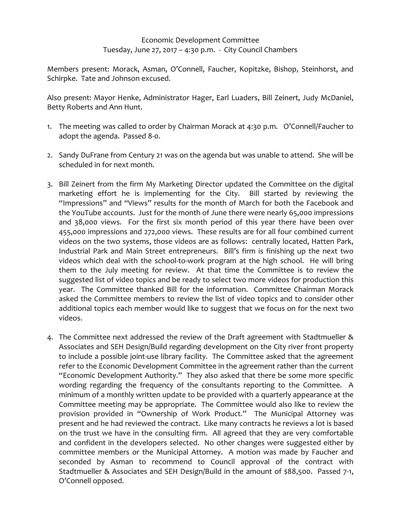## Economic Development Committee Tuesday, June 27, 2017 – 4:30 p.m. - City Council Chambers

Members present: Morack, Asman, O'Connell, Faucher, Kopitzke, Bishop, Steinhorst, and Schirpke. Tate and Johnson excused.

Also present: Mayor Henke, Administrator Hager, Earl Luaders, Bill Zeinert, Judy McDaniel, Betty Roberts and Ann Hunt.

- 1. The meeting was called to order by Chairman Morack at 4:30 p.m. O'Connell/Faucher to adopt the agenda. Passed 8-0.
- 2. Sandy DuFrane from Century 21 was on the agenda but was unable to attend. She will be scheduled in for next month.
- 3. Bill Zeinert from the firm My Marketing Director updated the Committee on the digital marketing effort he is implementing for the City. Bill started by reviewing the "Impressions" and "Views" results for the month of March for both the Facebook and the YouTube accounts. Just for the month of June there were nearly 65,000 impressions and 38,000 views. For the first six month period of this year there have been over 455,000 impressions and 272,000 views. These results are for all four combined current videos on the two systems, those videos are as follows: centrally located, Hatten Park, Industrial Park and Main Street entrepreneurs. Bill's firm is finishing up the next two videos which deal with the school-to-work program at the high school. He will bring them to the July meeting for review. At that time the Committee is to review the suggested list of video topics and be ready to select two more videos for production this year. The Committee thanked Bill for the information. Committee Chairman Morack asked the Committee members to review the list of video topics and to consider other additional topics each member would like to suggest that we focus on for the next two videos.
- 4. The Committee next addressed the review of the Draft agreement with Stadtmueller & Associates and SEH Design/Build regarding development on the City river front property to include a possible joint-use library facility. The Committee asked that the agreement refer to the Economic Development Committee in the agreement rather than the current "Economic Development Authority." They also asked that there be some more specific wording regarding the frequency of the consultants reporting to the Committee. A minimum of a monthly written update to be provided with a quarterly appearance at the Committee meeting may be appropriate. The Committee would also like to review the provision provided in "Ownership of Work Product." The Municipal Attorney was present and he had reviewed the contract. Like many contracts he reviews a lot is based on the trust we have in the consulting firm. All agreed that they are very comfortable and confident in the developers selected. No other changes were suggested either by committee members or the Municipal Attorney. A motion was made by Faucher and seconded by Asman to recommend to Council approval of the contract with Stadtmueller & Associates and SEH Design/Build in the amount of \$88,500. Passed 7-1, O'Connell opposed.